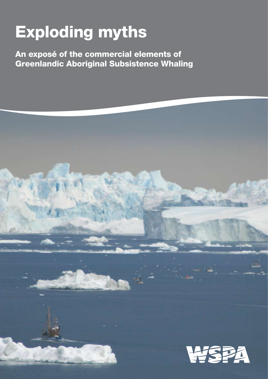# Exploding myths

An exposé of the commercial elements of Greenlandic Aboriginal Subsistence Whaling

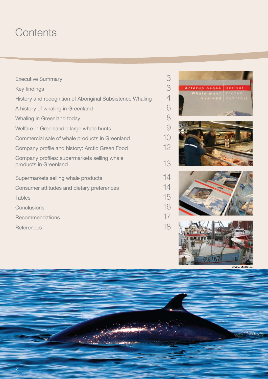# **Contents**

| <b>Executive Summary</b>                                              | 3  |
|-----------------------------------------------------------------------|----|
| Key findings                                                          | 3  |
| History and recognition of Aboriginal Subsistence Whaling             | 4  |
| A history of whaling in Greenland                                     | 6  |
| Whaling in Greenland today                                            | 8  |
| Welfare in Greenlandic large whale hunts                              | 9  |
| Commercial sale of whale products in Greenland                        | 10 |
| Company profile and history: Arctic Green Food                        | 12 |
| Company profiles: supermarkets selling whale<br>products in Greenland | 13 |
| Supermarkets selling whale products                                   | 14 |
| Consumer attitudes and dietary preferences                            | 14 |
| <b>Tables</b>                                                         | 15 |
| Conclusions                                                           | 16 |
| Recommendations                                                       | 17 |
| <b>References</b>                                                     | 18 |



©Ville Miett

i in

 $\sim$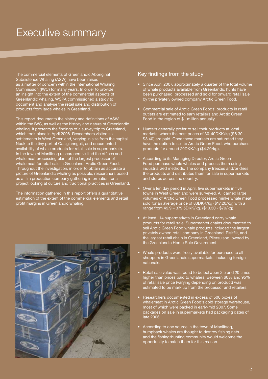# Executive summary

The commercial elements of Greenlandic Aboriginal Subsistence Whaling (ASW) have been raised as a matter of concern within the International Whaling Commission (IWC) for many years. In order to provide an insight into the extent of the commercial aspects of Greenlandic whaling, WSPA commissioned a study to document and analyse the retail sale and distribution of products from large whales in Greenland.

This report documents the history and definitions of ASW within the IWC, as well as the history and nature of Greenlandic whaling. It presents the findings of a survey trip to Greenland, which took place in April 2008. Researchers visited six settlements in West Greenland, varying in size from the capital Nuuk to the tiny port of Qasigiannguit, and documented availability of whale products for retail sale in supermarkets. In the town of Maniitsoq researchers visited the offices and whalemeat processing plant of the largest processor of whalemeat for retail sale in Greenland, Arctic Green Food. Throughout the investigation, in order to obtain as accurate a picture of Greenlandic whaling as possible, researchers posed as a film production company gathering information for a project looking at culture and traditional practices in Greenland.

The information gathered in this report offers a quantitative estimation of the extent of the commercial elements and retail profit margins in Greenlandic whaling.



### Key findings from the study

- Since April 2007, approximately a quarter of the total volume of whale products available from Greenlandic hunts have been purchased, processed and sold for onward retail sale by the privately owned company Arctic Green Food.
- Commercial sale of Arctic Green Foods' products in retail outlets are estimated to earn retailers and Arctic Green Food in the region of \$1 million annually.
- • Hunters generally prefer to sell their products at local markets, where the best prices of 30-40DKK/kg (\$6.30 - \$8.40) are paid. Once these markets are saturated they have the option to sell to Arctic Green Food, who purchase products for around 20DKK/kg (\$4.20/kg).
- According to its Managing Director, Arctic Green Food purchase whole whales and process them using industrialized methods. The company freezes and/or dries the products and distributes them for sale in supermarkets and stores across the country.
- Over a ten day period in April, five supermarkets in five towns in West Greenland were surveyed. All carried large volumes of Arctic Green Food processed minke whale meat, sold for an average price of 83DKK/kg (\$17.20/kg) with a range from 49.9 – 379.5DKK/kg. (\$10.30 - \$79/kg).
- At least 114 supermarkets in Greenland carry whale products for retail sale. Supermarket chains documented to sell Arctic Green Food whale products included the largest privately owned retail company in Greenland, Pisiffik, and the largest retail chain in Greenland, Pilersuisoq, owned by the Greenlandic Home Rule Government.
- Whale products were freely available for purchase to all shoppers in Greenlandic supermarkets, including foreign nationals.
- Retail sale value was found to be between 2.5 and 20 times higher than prices paid to whalers. Between 60% and 95% of retail sale price (varying depending on product) was estimated to be mark up from the processor and retailers.
- Researchers documented in excess of 500 boxes of whalemeat in Arctic Green Food's cold storage warehouse, most of which were packed in early-mid 2007. Some packages on sale in supermarkets had packaging dates of late 2006.
- According to one source in the town of Maniitsoq, humpback whales are thought to destroy fishing nets and the fishing/hunting community would welcome the opportunity to catch them for this reason.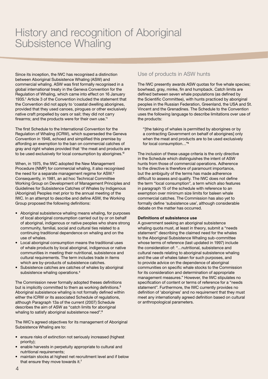# History and recognition of Aboriginal Subsistence Whaling

Since its inception, the IWC has recognised a distinction between Aboriginal Subsistence Whaling (ASW) and commercial whaling. ASW was first formally recognised in a global international treaty in the Geneva Convention for the Regulation of Whaling, which came into effect on 16 January 1935.<sup>1</sup> Article 3 of the Convention included the statement that the Convention did not apply to 'coastal dwelling aborigines, provided that they used canoes, pirogues or other exclusively native craft propelled by oars or sail; they did not carry firearms; and the products were for their own use.'<sup>1</sup>

The first Schedule to the International Convention for the Regulation of Whaling (ICRW), which superseded the Geneva Convention in 1946, echoed and simplified this premise by affording an exemption to the ban on commercial catches of gray and right whales provided that 'the meat and products are to be used exclusively for local consumption by aborigines.'<sup>2</sup>

When, in 1975, the IWC adopted the New Management Procedure (NMP) for commercial whaling, it also recognised the need for a separate management regime for ASW.<sup>3</sup> Consequently, in 1981, an ad hoc Technical Committee Working Group on Development of Management Principles and Guidelines for Subsistence Catches of Whales by Indigenous (Aboriginal) Peoples met prior to the annual meeting of the IWC. In an attempt to describe and define ASW, the Working Group proposed the following definitions:

- Aboriginal subsistence whaling means whaling, for purposes of local aboriginal consumption carried out by or on behalf of aboriginal, indigenous or native peoples who share strong community, familial, social and cultural ties related to a continuing traditional dependence on whaling and on the use of whales.
- Local aboriginal consumption means the traditional uses of whale products by local aboriginal, indigenous or native communities in meeting their nutritional, subsistence and cultural requirements. The term includes trade in items which are by-products of subsistence catches.
- Subsistence catches are catches of whales by aboriginal subsistence whaling operations.<sup>4</sup>

The Commission never formally adopted theses definitions but is implicitly committed to them as working definitions.<sup>5</sup> Aboriginal subsistence whaling is not formally defined within either the ICRW or its associated Schedule of regulations, although Paragraph 13a of the current (2007) Schedule describes the aim of ASW as "catch limits for aboriginal whaling to satisfy aboriginal subsistence need".<sup>6</sup>

The IWC's agreed objectives for its management of Aboriginal Subsistence Whaling are to:

- ensure risks of extinction not seriously increased (highest priority);
- enable harvests in perpetuity appropriate to cultural and nutritional requirements;
- maintain stocks at highest net recruitment level and if below that ensure they move towards it.<sup>7</sup>

### Use of products in ASW hunts

The IWC presently awards ASW quotas for five whale species; bowhead, gray, minke, fin and humpback. Catch limits are defined between seven whale populations (as defined by the Scientific Committee), with hunts practiced by aboriginal peoples in the Russian Federation, Greenland, the USA and St. Vincent and the Grenadines. The Schedule to the Convention uses the following language to describe limitations over use of the products:

"[the taking of whales is permitted by aborigines or by a contracting Government on behalf of aborigines] only when the meat and products are to be used exclusively for local consumption…"<sup>6</sup>

The inclusion of these usage criteria is the only directive in the Schedule which distinguishes the intent of ASW hunts from those of commercial operations. Adherence to the directive is therefore of paramount importance, but the ambiguity of the terms has made adherence difficult to assess and qualify. The IWC does not define the term "local consumption", a term which also features in paragraph 15 of the schedule with reference to an exemption over minimum size limits for baleen whale commercial catches. The Commission has also yet to formally define 'subsistence use', although considerable debate on the matter has occurred.

### **Definitions of subsistence use**

A government seeking an aboriginal subsistence whaling quota must, at least in theory, submit a "needs statement" describing the claimed need for the whales to the Aboriginal Subsistence Whaling sub-committee whose terms of reference (last updated in 1997) include the consideration of: "…nutritional, subsistence and cultural needs relating to aboriginal subsistence whaling and the use of whales taken for such purposes, and to provide advice on the dependence of aboriginal communities on specific whale stocks to the Commission for its consideration and determination of appropriate management measures." However, the IWC stipulates no specification of content or terms of reference for a "needs statement". Furthermore, the IWC currently provides no definition of 'aborigines' and no requirement that they must meet any internationally agreed definition based on cultural or anthropological parameters.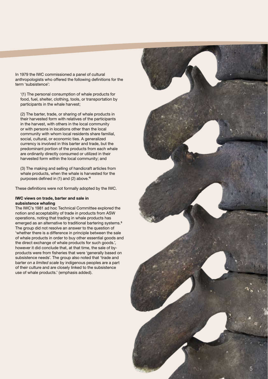In 1979 the IWC commissioned a panel of cultural anthropologists who offered the following definitions for the term 'subsistence':

'(1) The personal consumption of whale products for food, fuel, shelter, clothing, tools, or transportation by participants in the whale harvest;

(2) The barter, trade, or sharing of whale products in their harvested form with relatives of the participants in the harvest, with others in the local community or with persons in locations other than the local community with whom local residents share familial, social, cultural, or economic ties. A generalized currency is involved in this barter and trade, but the predominant portion of the products from each whale are ordinarily directly consumed or utilized in their harvested form within the local community; and

(3) The making and selling of handicraft articles from whale products, when the whale is harvested for the purposes defined in (1) and (2) above.'<sup>8</sup>

These definitions were not formally adopted by the IWC.

### **IWC views on trade, barter and sale in subsistence whaling**

The IWC's 1981 ad hoc Technical Committee explored the notion and acceptability of trade in products from ASW operations, noting that trading in whale products has emerged as an alternative to traditional bartering systems.<sup>9</sup> The group did not resolve an answer to the question of 'whether there is a difference in principle between the sale of whale products in order to buy other essential goods and the direct exchange of whale products for such goods.', however it did conclude that, at that time, the sale of byproducts were from fisheries that were 'generally based on subsistence needs'. The group also noted that 'trade and barter *on a limited scale* by indigenous peoples are a part of their culture and are closely linked to the subsistence use of whale products.' (emphasis added).

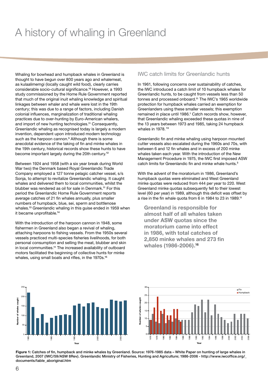# A history of whaling in Greenland

Whaling for bowhead and humpback whales in Greenland is thought to have begun over 800 years ago and whalemeat, as kulaalimemgi (locally caught wild food), clearly carries considerable socio-cultural significance.10 However, a 1993 study commissioned by the Home Rule Government reported that much of the original inuit whaling knowledge and spiritual linkages between whaler and whale were lost in the 19th century; this was due to a range of factors, including Danish colonial influences, marginalization of traditional whaling practices due to over-hunting by Euro-American whalers, and import of new hunting technologies.<sup>11</sup> Consequently, Greenlandic whaling as recognised today is largely a modern invention, dependent upon introduced modern technology such as the harpoon cannon.<sup>5</sup> Although there is some anecdotal evidence of the taking of fin and minke whales in the 19th century, historical records show these hunts to have become important largely during the 20th century.<sup>12</sup>

Between 1924 and 1958 (with a six year break during World War two) the Denmark based Royal Greenlandic Trade Company employed a 127 tonne pelagic catcher vessel, s/s Sonja, to attempt to revitalize Greenlandic whaling. It caught whales and delivered them to local communities, whilst the blubber was rendered as oil for sale in Denmark.11 For this period the Greenlandic Home Rule Government reports average catches of 21 fin whales annually, plus smaller numbers of humpback, blue, sei, sperm and bottlenose whales.13 Greenlandic whaling in this guise ended in 1959 when it became unprofitable.<sup>14</sup>

With the introduction of the harpoon cannon in 1948, some fishermen in Greenland also began a revival of whaling, attaching harpoons to fishing vessels. From the 1950s several vessels practiced multi-species fisheries livelihoods, for both personal consumption and selling the meat, blubber and skin in local communities.<sup>11</sup> The increased availability of outboard motors facilitated the beginning of collective hunts for minke whales, using small boats and rifles, in the 1970s.<sup>15</sup>

### IWC catch limits for Greenlandic hunts

In 1961, following concerns over sustainability of catches, the IWC introduced a catch limit of 10 humpback whales for Greenlandic hunts, to be caught from vessels less than 50 tonnes and processed onboard.11 The IWC's 1965 worldwide protection for humpback whales carried an exemption for Greenlanders using these smaller vessels; this exemption remained in place until 1986.<sup>1</sup> Catch records show, however, that Greenlandic whaling exceeded these quotas in nine of the 13 years between 1973 and 1985, taking 24 humpback whales in 1978.<sup>13</sup>

Greenlandic fin and minke whaling using harpoon mounted cutter vessels also escalated during the 1960s and 70s, with between 6 and 12 fin whales and in excess of 200 minke whales taken each year. With the introduction of the New Management Procedure in 1975, the IWC first imposed ASW catch limits for Greenlandic fin and minke whale hunts.<sup>3</sup>

With the advent of the moratorium in 1986, Greenland's humpback quotas were eliminated and West Greenland minke quotas were reduced from 444 per year to 220. West Greenland minke quotas subsequently fell to their lowest level (60 per year) in 1989, although this deficit was offset by a rise in the fin whale quota from 6 in 1984 to 23 in 1989.<sup>11</sup>

**Greenland is responsible for almost half of all whales taken under ASW quotas since the moratorium came into effect in 1986, with total catches of 2,850 minke whales and 273 fin whales (1986-2006).**<sup>16</sup>





**Figure 1:** Catches of fin, humpback and minke whales by Greenland. Source: 1976-1985 data – White Paper on hunting of large whales in Greenland, 2007 (IWC/59/ASW 8Rev). Greenlandic Ministry of Fisheries, Hunting and Agriculture; 1986-2006 - http://www.iwcoffice.org/\_ documents/table\_aboriginal.htm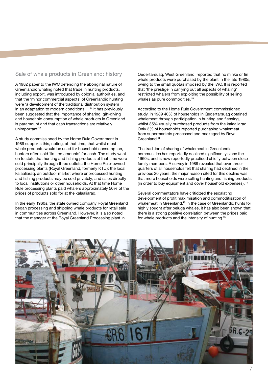### Sale of whale products in Greenland: history

A 1982 paper to the IWC defending the aboriginal nature of Greenlandic whaling noted that trade in hunting products, including export, was introduced by colonial authorities, and that the 'minor commercial aspects' of Greenlandic hunting were 'a development of the traditional distribution system in an adaptation to modern conditions ...'14 It has previously been suggested that the importance of sharing, gift-giving and household consumption of whale products in Greenland is paramount and that cash transactions are relatively unimportant.<sup>17</sup>

A study commissioned by the Home Rule Government in 1989 supports this, noting, at that time, that whilst most whale products would be used for household consumption, hunters often sold 'limited amounts' for cash. The study went on to state that hunting and fishing products at that time were sold principally through three outlets: the Home Rule-owned processing plants (Royal Greenland, formerly KTU); the local kalaaliaraq, an outdoor market where unprocessed hunting and fishing products may be sold privately; and sales directly to local institutions or other households. At that time Home Rule processing plants paid whalers approximately 50% of the prices of products sold for at the kalaaliaraq.<sup>11</sup>

In the early 1960s, the state owned company Royal Greenland began processing and shipping whale products for retail sale in communities across Greenland. However, it is also noted that the manager at the Royal Greenland Processing plant in

Qeqertarsuaq, West Greenland, reported that no minke or fin whale products were purchased by the plant in the late 1980s, owing to the small quotas imposed by the IWC. It is reported that 'the prestige in carrying out all aspects of whaling' restricted whalers from exploiting the possibility of selling whales as pure commodities.<sup>'11</sup>

According to the Home Rule Government commissioned study, in 1989 40% of households in Qeqertarsuaq obtained whalemeat through participation in hunting and flensing, whilst 35% usually purchased products from the kalaaliaraq. Only 3% of households reported purchasing whalemeat from supermarkets processed and packaged by Royal Greenland.<sup>11</sup>

The tradition of sharing of whalemeat in Greenlandic communities has reportedly declined significantly since the 1960s, and is now reportedly practiced chiefly between close family members. A survey in 1989 revealed that over threequarters of all households felt that sharing had declined in the previous 20 years; the major reason cited for this decline was that more households were selling hunting and fishing products (in order to buy equipment and cover household expenses).<sup>11</sup>

Several commentators have criticized the escalating development of profit maximisation and commoditisation of whalemeat in Greenland.18 In the case of Greenlandic hunts for highly sought after beluga whales, it has also been shown that there is a strong positive correlation between the prices paid for whale products and the intensity of hunting.<sup>19</sup>

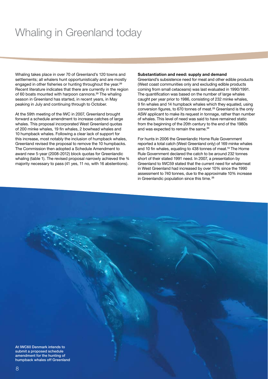# Whaling in Greenland today

Whaling takes place in over 70 of Greenland's 120 towns and settlements; all whalers hunt opportunistically and are mostly engaged in other fisheries or hunting throughout the year.<sup>20</sup> Recent literature indicates that there are currently in the region of 60 boats mounted with harpoon cannons.<sup>20</sup> The whaling season in Greenland has started, in recent years, in May peaking in July and continuing through to October.

At the 59th meeting of the IWC in 2007, Greenland brought forward a schedule amendment to increase catches of large whales. This proposal incorporated West Greenland quotas of 200 minke whales, 19 fin whales, 2 bowhead whales and 10 humpback whales. Following a clear lack of support for this increase, most notably the inclusion of humpback whales, Greenland revised the proposal to remove the 10 humpbacks. The Commission then adopted a Schedule Amendment to award new 5-year (2008-2012) block quotas for Greenlandic whaling (table 1). The revised proposal narrowly achieved the  $\frac{3}{4}$ majority necessary to pass (41 yes, 11 no, with 16 abstentions).

### **Substantiation and need: supply and demand**

Greenland's subsistence need for meat and other edible products (West coast communities only and excluding edible products coming from small cetaceans) was last evaluated in 1990/1991. The quantification was based on the number of large whales caught per year prior to 1986, consisting of 232 minke whales, 9 fin whales and 14 humpback whales which they equated, using conversion figures, to 670 tonnes of meat.23 Greenland is the only ASW applicant to make its request in tonnage, rather than number of whales. This level of need was said to have remained static from the beginning of the 20th century to the end of the 1980s and was expected to remain the same.<sup>24</sup>

For hunts in 2006 the Greenlandic Home Rule Government reported a total catch (West Greenland only) of 169 minke whales and 10 fin whales, equating to 438 tonnes of meat.<sup>13</sup> The Home Rule Government declared the catch to be around 232 tonnes short of their stated 1991 need. In 2007, a presentation by Greenland to IWC59 stated that the current need for whalemeat in West Greenland had increased by over 10% since the 1990 assessment to 740 tonnes, due to the approximate 10% increase in Greenlandic population since this time.<sup>25</sup>

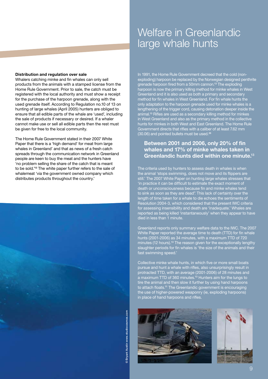### Welfare in Greenlandic large whale hunts

### **Distribution and regulation over sale**

Whalers catching minke and fin whales can only sell products from the animals with a stamped license from the Home Rule Government. Prior to sale, the catch must be registered with the local authority and must show a receipt for the purchase of the harpoon grenade, along with the used grenade itself. According to Regulation no.10 of 13 on hunting of large whales (April 2005) hunters are obliged to ensure that all edible parts of the whale are 'used', including the sale of products if necessary or desired. If a whaler cannot make use or sell all edible parts then the rest must be given for free to the local community.

The Home Rule Government stated in their 2007 White Paper that there is a 'high demand' for meat from large whales in Greenland' and that as news of a fresh catch spreads through the communication network in Greenland people are keen to buy the meat and the hunters have 'no problem selling the share of the catch that is meant to be sold.'13 The white paper further refers to the sale of whalemeat 'via the government owned company which distributes products throughout the country.'



In 1991, the Home Rule Government decreed that the cold (nonexploding) harpoon be replaced by the Norwegian designed penthrite grenade harpoon fired from a 50mm cannon.13 The exploding harpoon is now the primary killing method for minke whales in West Greenland and it is also used as both a primary and secondary method for fin whales in West Greenland. For fin whale hunts the only adaptation to the harpoon grenade used for minke whales is a lengthening of the trigger cord, causing detonation deeper inside the animal.13 Rifles are used as a secondary killing method for minkes in West Greenland and also as the primary method in the collective hunts for minkes in both West and East Greenland. The Home Rule Government directs that rifles with a caliber of at least 7.62 mm  $(30.06)$  and pointed bullets must be used.<sup>26</sup>

### **Between 2001 and 2006, only 20% of fin whales and 17% of minke whales taken in Greenlandic hunts died within one minute.**<sup>13</sup>

The criteria used by hunters to assess death in whales is when the animal 'stops swimming, does not move and its flippers are still.' The 2007 White Paper on hunting large whales stresses that 'in practice it can be difficult to estimate the exact moment of death or unconsciousness because fin and minke whales tend to sink as soon as they are dead". This lack of certainty over the length of time taken for a whale to die echoes the sentiments of Resolution 2004-3, which considered that the present IWC criteria for assessing insensibility and death are 'inadequate.' Whales are reported as being killed 'instantaneously' when they appear to have died in less than 1 minute.

Greenland reports only summary welfare data to the IWC. The 2007 White Paper reported the average time to death (TTD) for fin whale hunts (2001-2006) as 34 minutes, with a maximum TTD of 720 minutes (12 hours).<sup>13</sup> The reason given for the exceptionally lengthy slaughter periods for fin whales is 'the size of the animals and their fast swimming speed.'

Collective minke whale hunts, in which five or more small boats pursue and hunt a whale with rifles, also unsurprisingly result in protracted TTD, with an average (2001-2006) of 28 minutes and a maximum TTD of 360 minutes.<sup>13</sup> Hunters aim for the lungs to tire the animal and then slow it further by using hand harpoons to attach floats.<sup>11</sup> The Greenlandic government is encouraging the use of higher-powered weaponry (ie, exploding harpoons) in place of hand harpoons and rifles.



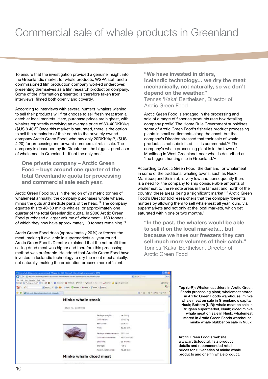# Commercial sale of whale products in Greenland

To ensure that the investigation provided a genuine insight into the Greenlandic market for whale products, WSPA staff and a commissioned film production company worked undercover, presenting themselves as a film research production company. Some of the information presented is therefore taken from interviews, filmed both openly and covertly.

According to interviews with several hunters, whalers wishing to sell their products will first choose to sell fresh meat from a catch at local markets. Here, purchase prices are highest, with whalers reportedly receiving an average price of 30-40DKK/kg (\$US 8.40)<sup>27</sup> Once this market is saturated, there is the option to sell the remainder of their catch to the privately owned company Arctic Green Food, who pay only 20DKK/kg<sup>27</sup>, (\$US 4.20) for processing and onward commercial retail sale. The company is described by its Director as 'the biggest purchaser of whalemeat in Greenland – if not the only one.'

**One private company – Arctic Green Food – buys around one quarter of the total Greenlandic quota for processing and commercial sale each year.**

Arctic Green Food buys in the region of 70 metric tonnes of whalemeat annually; the company purchases whole whales, minus the guts and inedible parts of the head.<sup>27</sup> The company equates this to 40-50 minke whales, or approximately one quarter of the total Greenlandic quota. In 2006 Arctic Green Food purchased a larger volume of whalemeat - 160 tonnes of which they now have approximately 10 tonnes remaining.<sup>27</sup>

Arctic Green Food dries (approximately 20%) or freezes the meat, making it available in supermarkets all year round. Arctic Green Food's Director explained that the net profit from selling dried meat was higher and therefore this processing method was preferable. He added that Arctic Green Food have invested in Icelandic technology to dry the meat mechanically, not naturally, making the production process more efficient.

**"We have invested in driers, Icelandic technology… we dry the meat mechanically, not naturally, so we don't depend on the weather."**

T*ø*nnes 'Kaka' Berthelsen, Director of Arctic Green Food

Arctic Green Food is engaged in the processing and sale of a range of fisheries products (see box detailing company profile).The Home Rule Government subsidises some of Arctic Green Food's fisheries product processing plants in small settlements along the coast, but the company's Director stressed that their sale of whale products is not subsidised – 'it is commercial.'27 The company's whale processing plant is in the town of Maniitsoq in West Greenland, near what is described as 'the biggest hunting site in Greenland.'27

According to Arctic Green Food, the demand for whalemeat in some of the traditional whaling towns, such as Nuuk, Maniitsoq and Sisimiut, is very low and consequently there is a need for the company to ship considerable amounts of whalemeat to the remote areas in the far east and north of the country, these areas being a 'significant market.<sup>27</sup> Arctic Green Food's Director told researchers that the company 'benefits hunters by allowing them to sell whalemeat all year round via supermarkets and not only at the local markets, which get saturated within one or two months.'

**"In the past, the whalers would be able to sell it on the local markets… but because we have our freezers they can sell much more volumes of their catch."** T*ø*nnes 'Kaka' Berthelsen, Director of Arctic Green Food



Top (L-R): Whalemeat driers in Arctic Green Foods processing plant; whalemeat stored in Arctic Green Foods warehouse; minke whale meat on sale in Greenland's capital, Nuuk; Bottom (L-R): whale meat on sale in Brugsen supermarket, Nuuk; diced minke whale meat on sale in Nuuk; whalemeat stored in Arctic Green Foods warehouse; minke whale blubber on sale in Nuuk.

Arctic Green Food's website, www.arcticfood.gl, lists product details and recommended retail prices for 10 varieties of minke whale products and one fin whale product.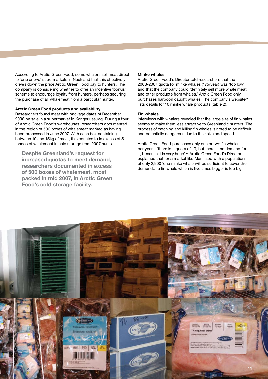According to Arctic Green Food, some whalers sell meat direct to 'one or two' supermarkets in Nuuk and that this effectively drives down the price Arctic Green Food pay to hunters. The company is considering whether to offer an incentive 'bonus' scheme to encourage loyalty from hunters, perhaps securing the purchase of all whalemeat from a particular hunter.<sup>27</sup>

### **Arctic Green Food products and availability**

Researchers found meat with package dates of December 2006 on sale in a supermarket in Kangerlussuaq. During a tour of Arctic Green Food's warehouses, researchers documented in the region of 500 boxes of whalemeat marked as having been processed in June 2007. With each box containing between 10 and 15kg of meat, this equates to in excess of 5 tonnes of whalemeat in cold storage from 2007 hunts.

**Despite Greenland's request for increased quotas to meet demand, researchers documented in excess of 500 boxes of whalemeat, most packed in mid 2007, in Arctic Green Food's cold storage facility.**

### **Minke whales**

Arctic Green Food's Director told researchers that the 2003-2007 quota for minke whales (175/year) was 'too low' and that the company could 'definitely sell more whale meat and other products from whales.' Arctic Green Food only purchases harpoon caught whales. The company's website<sup>28</sup> lists details for 10 minke whale products (table 2).

### **Fin whales**

Interviews with whalers revealed that the large size of fin whales seems to make them less attractive to Greenlandic hunters. The process of catching and killing fin whales is noted to be difficult and potentially dangerous due to their size and speed.

Arctic Green Food purchases only one or two fin whales per year – 'there is a quota of 19, but there is no demand for it, because it is very huge'.<sup>27</sup> Arctic Green Food's Director explained that for a market like Maniitsoq with a population of only 2,900 'one minke whale will be sufficient to cover the demand… a fin whale which is five times bigger is too big.'

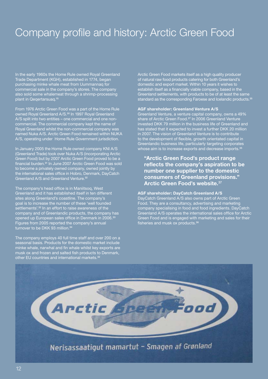# Company profile and history: Arctic Green Food

In the early 1960s the Home Rule owned Royal Greenland Trade Department (KGH), established in 1774, began purchasing minke whale meat from Uummannaq for commercial sale in the company's stores. The company also sold some whalemeat through a shrimp-processing plant in Qeqertarsuaq.<sup>15</sup>

From 1976 Arctic Green Food was a part of the Home Rule owned Royal Greenland A/S.<sup>30</sup> In 1997 Royal Greenland A/S split into two entities – one commercial and one noncommercial. The commercial company kept the name of Royal Greenland whilst the non-commercial company was named Nuka A/S. Arctic Green Food remained within NUKA A/S, operating under Home Rule Government jurisdiction.

In January 2005 the Home Rule owned company KNI A/S (Greenland Trade) took over Nuka A/S (incorporating Arctic Green Food) but by 2007 Arctic Green Food proved to be a financial burden.31 In June 2007 Arctic Green Food was sold to become a privately owned company, owned jointly by the international sales office in Hobro, Denmark, DayCatch Greenland A/S and Greenland Venture.<sup>32</sup>

The company's head office is in Maniitsoq, West Greenland and it has established itself in ten different sites along Greenland's coastline. The company's goal is to increase the number of these 'well founded settlements'.<sup>32</sup> In an effort to raise awareness of the company and of Greenlandic products, the company has opened up European sales office in Denmark in 2006.<sup>33</sup> Figures from 2005 reported the company's annual turnover to be DKK 93 million.<sup>34</sup>

The company employs 40 full time staff and over 200 on a seasonal basis. Products for the domestic market include minke whale, narwhal and fin whale whilst key exports are musk ox and frozen and salted fish products to Denmark, other EU countries and international markets.<sup>32</sup>

Arctic Green Food markets itself as a high quality producer of natural raw food products catering for both Greenland's domestic and export market. Within 10 years it wishes to establish itself as a financially viable company, based in the Greenland settlements, with products to be of at least the same standard as the corresponding Faroese and Icelandic products.<sup>35</sup>

### **AGF shareholder: Greenland Venture A/S**

Greenland Venture, a venture capital company, owns a 49% share of Arctic Green Food.<sup>27</sup> In 2006 Greenland Venture invested DKK 79 million in the business life of Greenland and has stated that it expected to invest a further DKK 20 million in 2007. The vision of Greenland Venture is to contribute to the development of flexible, growth orientated capital in Greenlandic business life, particularly targeting corporates whose aim is to increase exports and decrease imports.<sup>35</sup>

### **"Arctic Green Food's product range reflects the company's aspiration to be number one supplier to the domestic consumers of Greenland provisions." Arctic Green Food's website.**<sup>37</sup>

### **AGF shareholder: DayCatch Greenland A/S**

DayCatch Greenland A/S also owns part of Arctic Green Food. They are a consultancy, advertising and marketing company specialising in food and food ingredients. DayCatch Greenland A/S operates the international sales office for Arctic Green Food and is engaged with marketing and sales for their fisheries and musk ox products. $36$ 

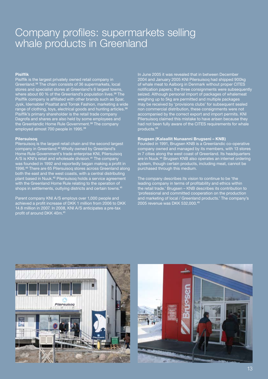### Company profiles: supermarkets selling whale products in Greenland

### **Pisiffik**

Pisiffik is the largest privately owned retail company in Greenland.38 The chain consists of 36 supermarkets, local stores and specialist stores at Greenland's 6 largest towns, where about 60 % of the Greenland's population lives.<sup>38</sup> The Pisiffik company is affiliated with other brands such as Spar, Jysk, Idemøbler Pisattat and Torrak Fashion, marketing a wide range of clothing, toys, electrical goods and hunting articles.<sup>38</sup> Pisiffik's primary shareholder is the retail trade company Dagrofa and shares are also held by some employees and the Greenlandic Home Rule Government.<sup>38</sup> The company employed almost 700 people in 1995.<sup>39</sup>

### **Pilersuisoq**

Pilersuisoq is the largest retail chain and the second largest company in Greenland.<sup>40</sup> Wholly owned by Greenland's Home Rule Government's trade enterprise KNI, Pilersuisoq A/S is KNI's retail and wholesale division.<sup>41</sup> The company was founded in 1992 and reportedly began making a profit in 1996.40 There are 65 Pilersuisoq stores across Greenland along both the east and the west coasts, with a central distributing plant based in Nuuk.42 Pilersuisoq holds a service agreement with the Greenland Home Rule relating to the operation of shops in settlements, outlying districts and certain towns.<sup>41</sup>

Parent company KNI A/S employs over 1,000 people and achieved a profit increase of DKK 1 million from 2006 to DKK 14.8 million in 2007. In 2008, KNI A/S anticipates a pre-tax profit of around DKK 40m.<sup>41</sup>

In June 2005 it was revealed that in between December 2004 and January 2005 KNI Pilersuisoq had shipped 900kg of whale meat to Aalborg in Denmark without proper CITES notification papers; the three consignments were subsequently seized. Although personal import of packages of whalemeat weighing up to 5kg are permitted and multiple packages may be received by 'provisions clubs' for subsequent sealed non commercial distribution, these consignments were not accompanied by the correct export and import permits. KNI Pilersuisoq claimed this mistake to have arisen because they had not been fully aware of the CITES requirements for whale products.<sup>4</sup>

### **Brugsen (Kalaallit Nunaanni Brugseni – KNB)**

Founded in 1991, Brugsen KNB is a Greenlandic co-operative company owned and managed by its members, with 13 stores in 7 cities along the west coast of Greenland. Its headquarters are in Nuuk.<sup>44</sup> Brugsen KNB also operates an internet ordering system, though certain products, including meat, cannot be purchased through this medium.

The company describes its vision to continue to be 'the leading company in terms of profitability and ethics within the retail trade.' Brugsen – KNB describes its contribution to 'professional and committed cooperation on the production and marketing of local / Greenland products.' The company's 2005 revenue was DKK 532,000.<sup>45</sup>



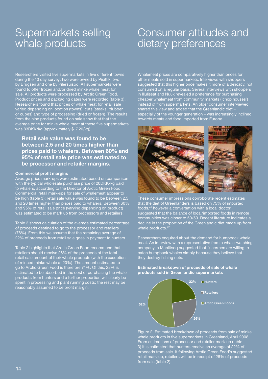### Supermarkets selling whale products

# Consumer attitudes and dietary preferences

Researchers visited five supermarkets in five different towns during the 10 day survey; two were owned by Pisiffik, two by Brugsen and one by Pilersuisoq. All supermarkets were found to offer frozen and/or dried minke whale meat for sale. All products were processed by Arctic Green Food. Product prices and packaging dates were recorded (table 3). Researchers found that prices of whale meat for retail sale varied depending on location (towns), cuts (steaks, blubber or cubes) and type of processing (dried or frozen). The results from the nine products found on sale show that that the average price for minke whale meat at these five supermarkets was 83DKK/kg (approximately \$17.20/kg).

### **Retail sale value was found to be between 2.5 and 20 times higher than prices paid to whalers. Between 60% and 95% of retail sale price was estimated to be processor and retailer margins.**

### **Commercial profit margins**

Average price mark-ups were estimated based on comparison with the typical wholesale purchase price of 20DKK/kg paid to whalers, according to the Director of Arctic Green Food. Commercial retail mark-ups for sale of whalemeat appear to be high (table 3); retail sale value was found to be between 2.5 and 20 times higher than prices paid to whalers. Between 60% and 95% of retail sale price (varying depending on product) was estimated to be mark up from processors and retailers.

Table 3 shows calculation of the average estimated percentage of proceeds destined to go to the processor and retailers (78%). From this we assume that the remaining average of 22% of proceeds from retail sale goes in payment to hunters.

Table 2 highlights that Arctic Green Food recommend that retailers should receive 26% of the proceeds of the total retail sale amount of their whale products (with the exception of minced minke whale at 20%). The amount estimated to go to Arctic Green Food is therefore 74%. Of this, 22% is estimated to be absorbed in the cost of purchasing the whale products from hunters and a further proportion will clearly be spent in processing and plant running costs; the rest may be reasonably assumed to be profit margin.

Whalemeat prices are comparatively higher than prices for other meats sold in supermarkets. Interviews with shoppers suggested that this higher price makes it more of a delicacy, not consumed on a regular basis. Several interviews with shoppers in Illulissat and Nuuk revealed a preference for purchasing cheaper whalemeat from community markets ('chop houses') instead of from supermarkets. An older consumer interviewed shared this view and added that the Greenlandic diet – especially of the younger generation – was increasingly inclined towards meats and food imported from Europe.



These consumer impressions corroborate recent estimates that the diet of Greenlanders is based on 75% of imported foods,46 however a conversation with a local doctor suggested that the balance of local/imported foods in remote communities was closer to 50/50. Recent literature indicates a decline in the proportion of the Greenlandic diet made up from whale products.<sup>47</sup>

Researchers enquired about the demand for humpback whale meat. An interview with a representative from a whale-watching company in Maniitsoq suggested that fishermen are willing to catch humpback whales simply because they believe that they destroy fishing nets.

**Estimated breakdown of proceeds of sale of whale products sold in Greenlandic supermarkets**



Figure 2: Estimated breakdown of proceeds from sale of minke whale products in five supermarkets in Greenland, April 2008. From estimations of processor and retailer mark-up (table 3) it is estimated that hunters receive an average of 22% of proceeds from sale. If following Arctic Green Food's suggested retail mark-up, retailers will be in receipt of 26% of proceeds from sale (table 2).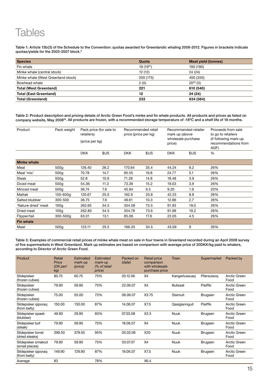# **Tables**

Table 1: Article 13b(3) of the Schedule to the Convention: quotas awarded for Greenlandic whaling 2008-2012. Figures in brackets indicate quotas/yields for the 2003-2007 block.6

| <b>Species</b>                     | Quota         | <b>Meat yield (tonnes)</b> |
|------------------------------------|---------------|----------------------------|
| Fin whale                          | $19(19^{21})$ | 190 (190)                  |
| Minke whale (central stock)        | 12(12)        | 24 (24)                    |
| Minke whale (West Greenland stock) | 200 (175)     | 400 (350)                  |
| Bowhead whale                      | 2(0)          | $20^{22}$ (0)              |
| <b>Total (West Greenland)</b>      | 221           | 610 (540)                  |
| <b>Total (East Greenland)</b>      | 12            | 24 (24)                    |
| <b>Total (Greenland)</b>           | 233           | 634 (564)                  |

Table 2: Product description and pricing details of Arctic Green Food's minke and fin whale products. All products and prices as listed on company website, May 200829. All products are frozen, with a recommended storage temperature of -18ºC and a shelf life of 18 months.

| Product             | Pack weight      | Pack price (for sale to<br>retailers)<br>(price per kg) |      | Recommended retail<br>price (price per kg) |      | Recommended retailer<br>mark up (above<br>wholesale purchase<br>price) |      | Proceeds from sale<br>to go to retailers<br>(if following mark-up)<br>recommendations from<br>AGF) |  |
|---------------------|------------------|---------------------------------------------------------|------|--------------------------------------------|------|------------------------------------------------------------------------|------|----------------------------------------------------------------------------------------------------|--|
|                     |                  | <b>DKK</b>                                              | \$US | <b>DKK</b>                                 | \$US | <b>DKK</b>                                                             | \$US | %                                                                                                  |  |
| <b>Minke whale</b>  |                  |                                                         |      |                                            |      |                                                                        |      |                                                                                                    |  |
| Meat                | 500q             | 126.40                                                  | 26.2 | 170.64                                     | 35.4 | 44.24                                                                  | 9.2  | 26%                                                                                                |  |
| Meat 'mix'          | 500q             | 70.78                                                   | 14.7 | 95.55                                      | 19.8 | 24.77                                                                  | 5.1  | 26%                                                                                                |  |
| Steak               | 500g             | 52.8                                                    | 10.9 | 71.28                                      | 14.8 | 18.48                                                                  | 3.9  | 26%                                                                                                |  |
| Diced meat          | 500g             | 54.36                                                   | 11.3 | 73.39                                      | 15.2 | 19.03                                                                  | 3.9  | 26%                                                                                                |  |
| Minced meat         | 500 <sub>g</sub> | 36.74                                                   | 7.6  | 45.94                                      | 9.5  | 9.20                                                                   | 1.9  | 20%                                                                                                |  |
| Mattak              | 150-600g         | 120.67                                                  | 25.0 | 162.9                                      | 33.8 | 42.23                                                                  | 8.8  | 26%                                                                                                |  |
| Salted blubber      | 300-500          | 36.75                                                   | 7.6  | 49.61                                      | 10.3 | 12.86                                                                  | 2.7  | 26%                                                                                                |  |
| 'Nature dried' meat | 100 <sub>g</sub> | 262.65                                                  | 54.5 | 354.58                                     | 73.5 | 91.93                                                                  | 19.0 | 26%                                                                                                |  |
| Dried meat          | 100q             | 262.80                                                  | 54.5 | 354.78                                     | 73.6 | 91.98                                                                  | 19.2 | 26%                                                                                                |  |
| Flipper/tail        | 300-500g         | 63.01                                                   | 13.1 | 85.06                                      | 17.6 | 22.05                                                                  | 4.5  | 26%                                                                                                |  |
| <b>Fin whale</b>    |                  |                                                         |      |                                            |      |                                                                        |      |                                                                                                    |  |
| Meat                | 500g             | 123.11                                                  | 25.5 | 166.20                                     | 34.5 | 43.09                                                                  | 9    | 26%                                                                                                |  |

Table 3: Examples of commercial retail prices of minke whale meat on sale in four towns in Greenland recorded during an April 2008 survey of five supermarkets in West Greenland. Mark up estimates are based on comparison with average price of 20DKK/kg paid to whalers, according to Director of Arctic Green Food.

| Product                              | Retail<br>Price<br>(DK <sub>per</sub> )<br>kg) | <b>Estimated</b><br>mark-up<br>(price) | Estimated<br>mark-up<br>(% of retail<br>price) | Packed on<br>(date) | <b>Retail price</b><br>comparison<br>with wholesale<br>purchase price | Town          | Supermarket     | Packed by            |
|--------------------------------------|------------------------------------------------|----------------------------------------|------------------------------------------------|---------------------|-----------------------------------------------------------------------|---------------|-----------------|----------------------|
| Sildepisker<br>(frozen cubes)        | 80.75                                          | 60.75                                  | 75%                                            | 20.12.06            | X4                                                                    | Kangerlussuag | Pilersuisog     | Arctic Green<br>Food |
| Sildepisker<br>(frozen cubes)        | 79.90                                          | 59.90                                  | 75%                                            | 22.06.07            | X4                                                                    | Illulissat    | <b>Pisiffik</b> | Arctic Green<br>Food |
| Sildepisker<br>(frozen cubes)        | 75.00                                          | 55.00                                  | 73%                                            | 06.06.07            | X3.75                                                                 | Sisimuit      | Brugsen         | Arctic Green<br>Food |
| Sildepisker giporag<br>(from belly)  | 150.00                                         | 130.00                                 | 87%                                            | 14.06.07            | X7.5                                                                  | Qasigiannguit | <b>Pisiffik</b> | Arctic Green<br>Food |
| Sildepisker spaek<br>(blubber)       | 49.90                                          | 29.90                                  | 60%                                            | 07.03.08            | X2.5                                                                  | <b>Nuuk</b>   | Brugsen         | Arctic Green<br>Food |
| Sildepisker bof<br>(steak)           | 79.90                                          | 59.90                                  | 75%                                            | 18.06.07            | X4                                                                    | Nuuk          | Brugsen         | Arctic Green<br>Food |
| Sildepisker torret<br>(dried steaks) | 399.50                                         | 379.50                                 | 95%                                            | 05.02.08            | X20                                                                   | Nuuk          | <b>Brugsen</b>  | Arctic Green<br>Food |
| Sildepisker smakod<br>(small pieces) | 79.90                                          | 59.90                                  | 75%                                            | 03.07.07            | X4                                                                    | Nuuk          | Brugsen         | Arctic Green<br>Food |
| Sildepisker giporag<br>(from belly)  | 149.90                                         | 129.90                                 | 87%                                            | 19.06.07            | X7.5                                                                  | <b>Nuuk</b>   | Brugsen         | Arctic Green<br>Food |
| Average                              | 83                                             |                                        | 78%                                            |                     | X6.4                                                                  |               |                 |                      |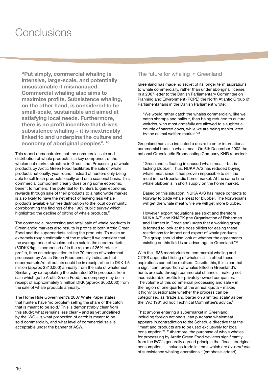# **Conclusions**

**"Put simply, commercial whaling is intensive, large-scale, and potentially unsustainable if mismanaged. Commercial whaling also aims to maximize profits. Subsistence whaling, on the other hand, is considered to be small-scale, sustainable and aimed at satisfying local needs. Furthermore, there is no profit incentive that drives subsistence whaling – it is inextricably linked to and underpins the culture and economy of aboriginal peoples".** <sup>48</sup>

This report demonstrates that the commercial sale and distribution of whale products is a key component of the whalemeat market structure in Greenland. Processing of whale products by Arctic Green Food facilitates the sale of whale products nationally, year round, instead of hunters only being able to sell fresh products locally and on a seasonal basis. This commercial component clearly does bring some economic benefit to hunters. The potential for hunters to gain economic rewards through sale of their products to a nationwide market is also likely to have the net effect of leaving less whale products available for free distribution to the local community, corroborating the findings of the 1989 public survey which highlighted the decline of gifting of whale products.<sup>11</sup>

The commercial processing and retail sale of whale products in Greenlandic markets also results in profits to both Arctic Green Food and the supermarkets selling the products. To make an extremely rough estimation of the market; if we consider that the average price of whalemeat on sale in the supermarkets (83DKK/kg) is composed of in the region of 26% retailer profits, then an extrapolation to the 70 tonnes of whalemeat processed by Arctic Green Food annually indicates that supermarkets/retail outlets could be in receipt of up to DKK 1.5 million (approx \$310,000) annually from the sale of whalemeat. Similarly, by extrapolating the estimated 52% proceeds from sale which go to Arctic Green Food, the company may be in receipt of approximately 3 million DKK (approx \$650,000) from the sale of whale products annually.

The Home Rule Government's 2007 White Paper states that hunters have 'no problem selling the share of the catch that is meant to be sold.' This is demonstrably clear from this study; what remains less clear – and as yet undefined by the IWC – is what proportion of catch is meant to be sold commercially, and what level of commercial sale is acceptable under the banner of ASW.

### The future for whaling in Greenland

Greenland has made no secret of its longer term aspirations to whale commercially, rather than under aboriginal license. In a 2007 letter to the Danish Parliamentary Committee on Planning and Environment (PCPE) the North Atlantic Group of Parliamentarians in the Danish Parliament wrote:

"We would rather catch the whales commercially, like we catch shrimps and halibut, than being reduced to cultural weirdos, who most gratefully are allowed to slaughter a couple of sacred cows, while we are being manipulated by the animal welfare market."<sup>49</sup>

Greenland has also indicated a desire to enter international commercial trade in whale meat. On 6th December 2002 the national Greenlandic Broadcasting Company KNR reported:

"Greenland is floating in unused whale meat – but is lacking blubber. Thus, NUKA A/S has reduced buying whale meat since it has proven impossible to sell the meat in the Greenlandic home market. At the same time whale blubber is in short supply on the home market.

Based on this situation, NUKA A/S has made contacts to Norway to trade whale meat for blubber. The Norwegians will get the whale meat while we will get more blubber.

However, export regulations are strict and therefore NUKA A/S and KNAPK (the Organisation of Fishermen and Hunters in Greenland) urges that a working group is formed to look at the possibilities for easing these restrictions for import and export of whale products. The group should also look at whether the agreements existing on this field is an advantage to Greenland."<sup>50</sup>

With the 1986 moratorium on commercial whaling and CITES appendix I listing of whales still in effect these aspirations cannot be realised. Despite this, it is clear that a significant proportion of whales killed in Greenland's hunts are sold through commercial channels, making not inconsiderable profits for privately owned companies. The volume of this commercial processing and sale – in the region of one quarter of the annual quota – makes it highly questionable whether the process can be categorised as 'trade and barter on a limited scale' as per the IWC 1981 ad hoc Technical Committee's advice.<sup>9</sup>

That anyone entering a supermarket in Greenland, including foreign nationals, can purchase whalemeat appears in contradiction to the Schedule directive that the "meat and products are to be used exclusively for local consumption."<sup>6</sup> Futhermore, the purchase of whole whales for processing by Arctic Green Food deviates significantly from the IWC's generally agreed principle that 'local aboriginal consumption…. includes trade in items which are *by-products* of subsistence whaling operations.'4 (emphasis added).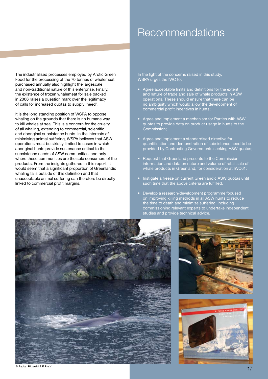# Recommendations

The industrialised processes employed by Arctic Green Food for the processing of the 70 tonnes of whalemeat purchased annually also highlight the largescale and non-traditional nature of this enterprise. Finally, the existence of frozen whalemeat for sale packed in 2006 raises a question mark over the legitimacy of calls for increased quotas to supply 'need'.

It is the long standing position of WSPA to oppose whaling on the grounds that there is no humane way to kill whales at sea. This is a concern for the cruelty of all whaling, extending to commercial, scientific and aboriginal subsistence hunts. In the interests of minimising animal suffering, WSPA believes that ASW operations must be strictly limited to cases in which aboriginal hunts provide sustenance critical to the subsistence needs of ASW communities, and only where these communities are the sole consumers of the products. From the insights gathered in this report, it would seem that a significant proportion of Greenlandic whaling falls outside of this definition and that unacceptable animal suffering can therefore be directly linked to commercial profit margins.

In the light of the concerns raised in this study, WSPA urges the IWC to:

- • Agree acceptable limits and definitions for the extent and nature of trade and sale of whale products in ASW operations. These should ensure that there can be no ambiguity which would allow the development of commercial profit incentives in hunts;
- Agree and implement a mechanism for Parties with ASW quotas to provide data on product usage in hunts to the Commission;
- Agree and implement a standardised directive for quantification and demonstration of subsistence need to be provided by Contracting Governments seeking ASW quotas;
- Request that Greenland presents to the Commission information and data on nature and volume of retail sale of whale products in Greenland, for consideration at IWC61;
- Instigate a freeze on current Greenlandic ASW quotas until such time that the above criteria are fulfilled.
- Develop a research/development programme focused on improving killing methods in all ASW hunts to reduce the time to death and minimize suffering, including commissioning relevant experts to undertake independent studies and provide technical advice.





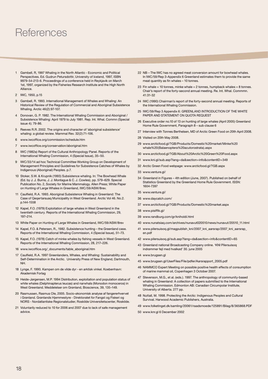## **References**

- 1 Gambell, R, 1997 Whaling in the North Atlantic Economic and Political Perspectives. Ed. Gudrun Petursdottir, University of Iceland, 1997, ISBN 9979-54-213-6. Proceedings of a conference held in Reykjavik on March 1st, 1997, organized by the Fisheries Research Institute and the High North Alliance.
- 2 IWC, 1950, p.15
- 3 Gambell, R. 1993. International Management of Whales and Whaling: An Historical Review of the Regulation of Commercial and Aboriginal Subsistence Whaling. Arctic 46(2):97-107.
- 4 Donovan, G. P. 1982. The International Whaling Commission and Aboriginal / Subsistence Whaling: April 1979 to July 1981. Rep. Int. Whal. Commn (Special issue 4); 79-86.
- 5 Reeves R.R. 2002. The origins and character of 'aboriginal subsistence' whaling: a global review. Mammal Rev. 32(2):71-106.
- 6 www.iwcoffice.org/commission/schedule.htm
- 7 www.iwcoffice.org/conservation/aboriginal.htm
- 8 IWC (1982a) Report of the Cultural Anthropology Panel. Reports of the International Whaling Commission, 4 (Special Issue), 35–50.
- 9 IWC/33/14 ad hoc Technical Committee Working Group on Development of Management Principles and Guidelines for Subsistence Catches of Whales by Indigenous (Aboriginal) Peoples. p.7.
- 10 Stoker, S.W. & Krupnik (1993) Subsistence whaling. In: The Bowhead Whale (Ed. by J. J. Burns, J. J. Montague & C. J. Cowles), pp. 579–629. Special Publication No. 2, Society for Marine Mammalogy. Allen Press; White Paper on Hunting of Large Whales in Greenland, IWC/59/ASW/8rev.
- 11 Caulfield, R.A. 1993. Aboriginal Subsistence Whaling in Greenland: The Case of Qeqertarsuaq Municipality in West Greenland. Arctic Vol 46. No.2. p.144-1558
- 12 Kapel, F.O. (1979) Exploitation of large whales in West Greenland in the twentieth century. Reports of the International Whaling Commission, 29, 197–214.
- 13 White Paper on Hunting of Large Whales in Greenland, IWC/59/ASW/8rev
- 14 Kapel, F.O. & Petersen, R., 1982. Subsistence hunting the Greenland case. Reports of the International Whaling Commission, 4 (Special Issue), 51–73.
- 15 Kapel, F.O. (1978) Catch of minke whales by fishing vessels in West Greenland. Reports of the International Whaling Commission, 28, 217–226.
- 16 www.iwcoffice.org/\_documents/table\_aboriginal.htm
- 17 Caulfield, R.A. 1997 Greenlanders, Whales, and Whaling: Sustainability and Self-Determination in the Arctic. University Press of New England, Dartmouth, NH.
- 18 Lynge, F. 1990. Kampen om de vilde dyr en arktisk vinkel. Koebenhavn: Akademisk Forlag
- 19 Heide-Jørgensen, M.P. 1994 Distribution, exploitation and population status of white whales (Delphinapterus leucas) and narwhals (Monodon monoceros) in West Greenland. Meddelelser om Grønland, Bioscience, 39, 135–149.
- 20 Rasmussen, Rasmus Ole, 2005. Socio-økonomisk analyse af fangererhvervet i Grønland. Grønlands Hjemmestyre - Direktoratet for Fangst og Fiskeri og NORS - Nordatlantiske Regionalstudier, Roskilde Universitetscenter, Roskilde.
- 21 Voluntarily reduced to 10 for 2006 and 2007 due to lack of safe management advice.
- 22 NB The IWC has no agreed meat conversion amount for bowhead whales. In IWC/59/Rep 3-Appendix 6 Greenland estimates them to provide the same meat quantity as fin whales – 10 tonnes.
- 23 Fin whale = 10 tonnes, minke whale = 2 tonnes, humpback whales =  $8$  tonnes. Chair's report of the forty-second annual meeting. Re. Int. Whal. Commmn. 41:31-32
- 24 IWC (1990) Chairman's report of the forty-second annual meeting. Reports of the International Whaling Commission.
- 25 IWC/59/Rep 3 Appendix 6: GREENLAND INTRODUCTION OF THE WHITE PAPER AND STATEMENT ON QUOTA REQUEST
- 26 Executive order no.10 of 13 on hunting of large whales (April 2005) Greenland Home Rule Government, Paragraph 8 – sub clause 6
- 27 Interview with Tonnes Berthelsen, MD of Arctic Green Food on 20th April 2008.
- 28 Visited on 20th May 2008.
- 29 www.arcticfood.gl/?GB/Products/Domestic%20market/Minke%20 whale%20(Balaenoptera%20acutorostrata).aspx
- 30 www.arcticfood.gl/?GB/About%20Arctic%20Green%20Food.aspx
- 31 www.kni.gl/sub.asp?lang=da&section=info&contentID=349
- 32 Arctic Green Food webpage: www.arcticfood.gl/?GB.aspx
- 33 www.venture.gl/
- 34 Greenland in Figures 4th edition (June, 2007). Published on behalf of Statistics Greenland by the Greenland Home Rule Government. ISSN: 1604-7397
- 35 www.venture.gl/
- 36 www.daycatch.com/
- 37 www.arcticfood.gl/?GB/Products/Domestic%20market.aspx
- 38 www.pisiffik.gl/
- 39 www.randburg.com/gr/kniholdi.html
- 40 www.nunatsiaq.com/archives/nunavut020510/news/nunavut/20510\_11.html
- 41 www.pilersuisoq.gl/magpublish\_kni/2007\_kni\_aarsrap/2007\_kni\_aarsrap\_ en.pdf
- 42 www.pilersuisoq.gl/sub.asp?lang=da&section=info&contentID=65
- 43 Greenland national Broadcasting Company online. 'KNI Pilersuisoq indrømmer fejl med hvalkød' 30. june 2005
- 44 www.brugsen.gl
- 45 www.brugsen.gl/UserFiles/File/pdfer/Aarsrapport\_2005.pdf
- 46 NAMMCO Expert Meeting on possible positive health effects of consumption of marine mammal oil, Copenhagen 3 October 2007.
- 47 Stevenson, M.G., et al. (eds.). 1997. The anthropology of community-based whaling in Greenland: A collection of papers submitted to the International Whaling Commission. Edmonton AB: Canadian Circumpolar Institute, University of Alberta. 277 pp.
- 48 Nuttall, M. 1998. Protecting the Arctic: Indigenous Peoples and Cultural Survival. Harwood Academic Publishers, Australia.
- 49 www.folketinget.dk/samling/20061/raadsmoede/125891/Bilag/8/365868.PDF
- 50 www.knr.gl 6 December 2002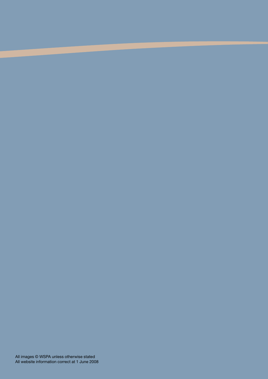All images © WSPA unless otherwise stated All website information correct at 1 June 2008